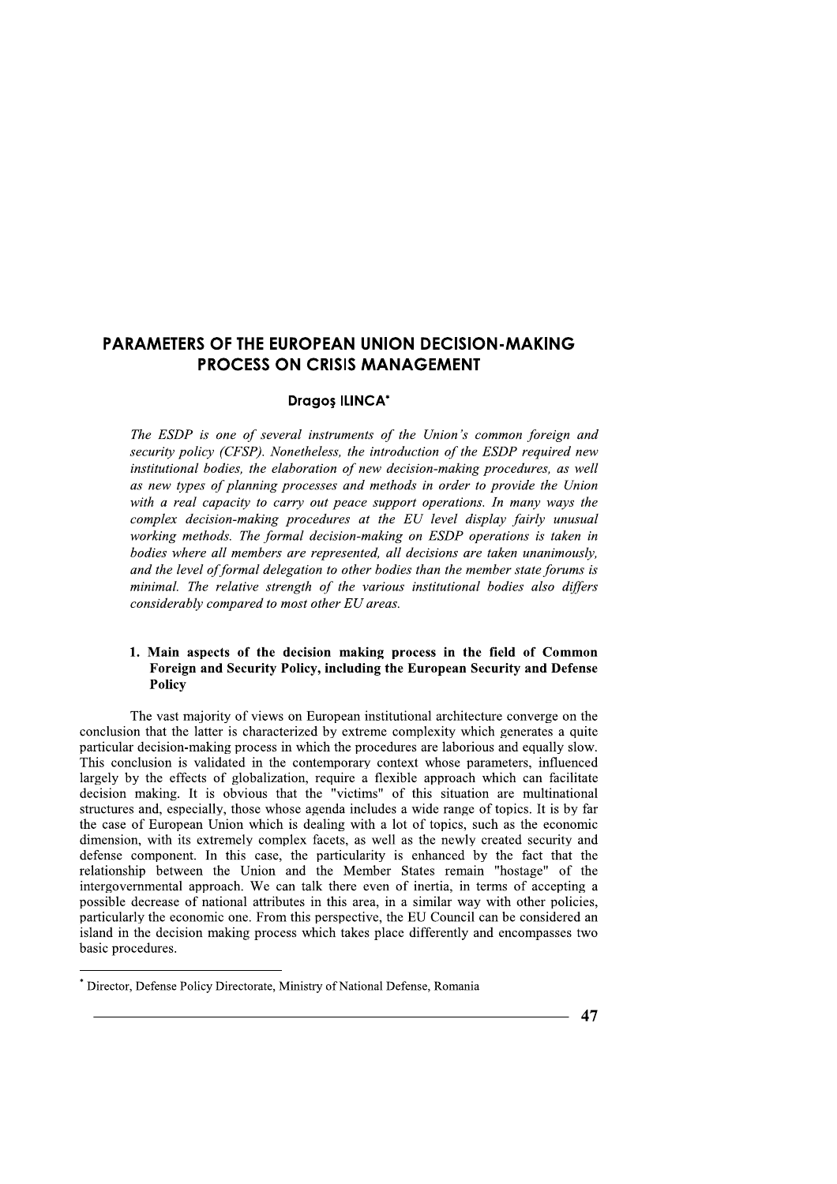### Dragoș ILINCA\*

**PARAMETERS OF THE EUROPEAN UNION DECISION-MAKING**<br> **PROCESS ON CRISIS MANAGEMENT**<br>
Dragos ILINCA<sup>\*</sup><br> *The ESDP is one of several instruments of the Union's common foreign ansecurity policy (CFSP). Nonetheless, the introdu* The ESDP is one of several instruments of the Union's common foreign and security policy (CFSP). Nonetheless, the introduction of the ESDP required new institutional bodies, the elaboration of new decision-making procedures, as well as new types of planning processes and methods in order to provide the Union with a real capacity to carry out peace support operations. In many ways the complex decision-making procedures at the EU level display fairly unusual working methods. The formal decision-making on ESDP operations is taken in bodies where all members are represented, all decisions are taken unanimously. and the level of formal delegation to other bodies than the member state forums is minimal. The relative strength of the various institutional bodies also differs considerably compared to most other EU areas.

## 1. Main aspects of the decision making process in the field of Common Foreign and Security Policy, including the European Security and Defense Policy

 $\overline{\phantom{a}}$ The vast majority of views on European institutional architecture converge on the conclusion that the latter is characterized by extreme complexity which generates a quite particular decision-making process in which the procedures are laborious and equally slow. This conclusion is validated in the contemporary context whose parameters, influenced largely by the effects of globalization, require a flexible approach which can facilitate decision making. It is obvious that the "victims" of this situation are multinational structures and, especially, those whose agenda includes a wide range of topics. It is by far the case of European Union which is dealing with a lot of topics, such as the economic dimension, with its extremely complex facets, as well as the newly created security and defense component. In this case, the particularity is enhanced by the fact that the relationship between the Union and the Member States remain "hostage" of the intergovernmental approach. We can talk there even of inertia, in terms of accepting a possible decrease of national attributes in this area, in a similar way with other policies, particularly the economic one. From this perspective, the EU Council can be considered an island in the decision making process which takes place differently and encompasses two basic procedures.

<sup>\*</sup> Director, Defense Policy Directorate, Ministry of National Defense, Romania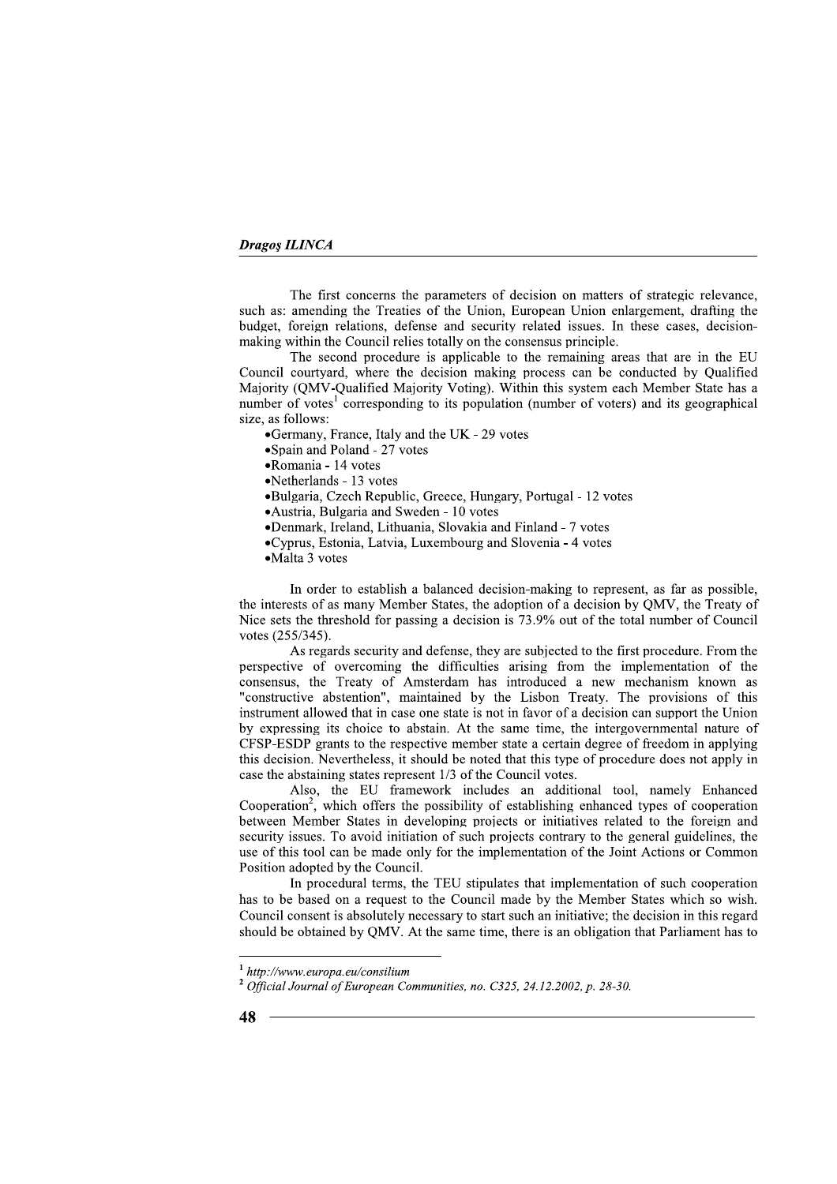The first concerns the parameters of decision on matters of strategic relevance, such as: amending the Treaties of the Union, European Union enlargement, drafting the budget, foreign relations, defense and security related issues. In these cases, decisionmaking within the Council relies totally on the consensus principle.

The second procedure is applicable to the remaining areas that are in the EU Council courtyard, where the decision making process can be conducted by Qualified Majority (QMV-Qualified Majority Voting). Within this system each Member State has a number of votes<sup>1</sup> corresponding to its population (number of voters) and its geographical size, as follows:

•Germany, France, Italy and the UK - 29 votes

•Spain and Poland - 27 votes

•Romania - 14 votes

•Netherlands - 13 votes

- •Bulgaria, Czech Republic, Greece, Hungary, Portugal 12 votes
- Austria, Bulgaria and Sweden 10 votes
- •Denmark, Ireland, Lithuania, Slovakia and Finland 7 votes
- •Cyprus, Estonia, Latvia, Luxembourg and Slovenia 4 votes

•Malta 3 votes

In order to establish a balanced decision-making to represent, as far as possible, the interests of as many Member States, the adoption of a decision by OMV, the Treaty of Nice sets the threshold for passing a decision is 73.9% out of the total number of Council votes (255/345).

As regards security and defense, they are subjected to the first procedure. From the perspective of overcoming the difficulties arising from the implementation of the consensus, the Treaty of Amsterdam has introduced a new mechanism known as "constructive abstention", maintained by the Lisbon Treaty. The provisions of this instrument allowed that in case one state is not in favor of a decision can support the Union by expressing its choice to abstain. At the same time, the intergovernmental nature of CFSP-ESDP grants to the respective member state a certain degree of freedom in applying this decision. Nevertheless, it should be noted that this type of procedure does not apply in case the abstaining states represent 1/3 of the Council votes.

Also, the EU framework includes an additional tool, namely Enhanced Cooperation<sup>2</sup>, which offers the possibility of establishing enhanced types of cooperation between Member States in developing projects or initiatives related to the foreign and security issues. To avoid initiation of such projects contrary to the general guidelines, the use of this tool can be made only for the implementation of the Joint Actions or Common Position adopted by the Council.

In procedural terms, the TEU stipulates that implementation of such cooperation has to be based on a request to the Council made by the Member States which so wish. Council consent is absolutely necessary to start such an initiative; the decision in this regard should be obtained by OMV. At the same time, there is an obligation that Parliament has to

∴.

 $1$  http://www.europa.eu/consilium

<sup>&</sup>lt;sup>2</sup> Official Journal of European Communities, no. C325, 24.12.2002, p. 28-30.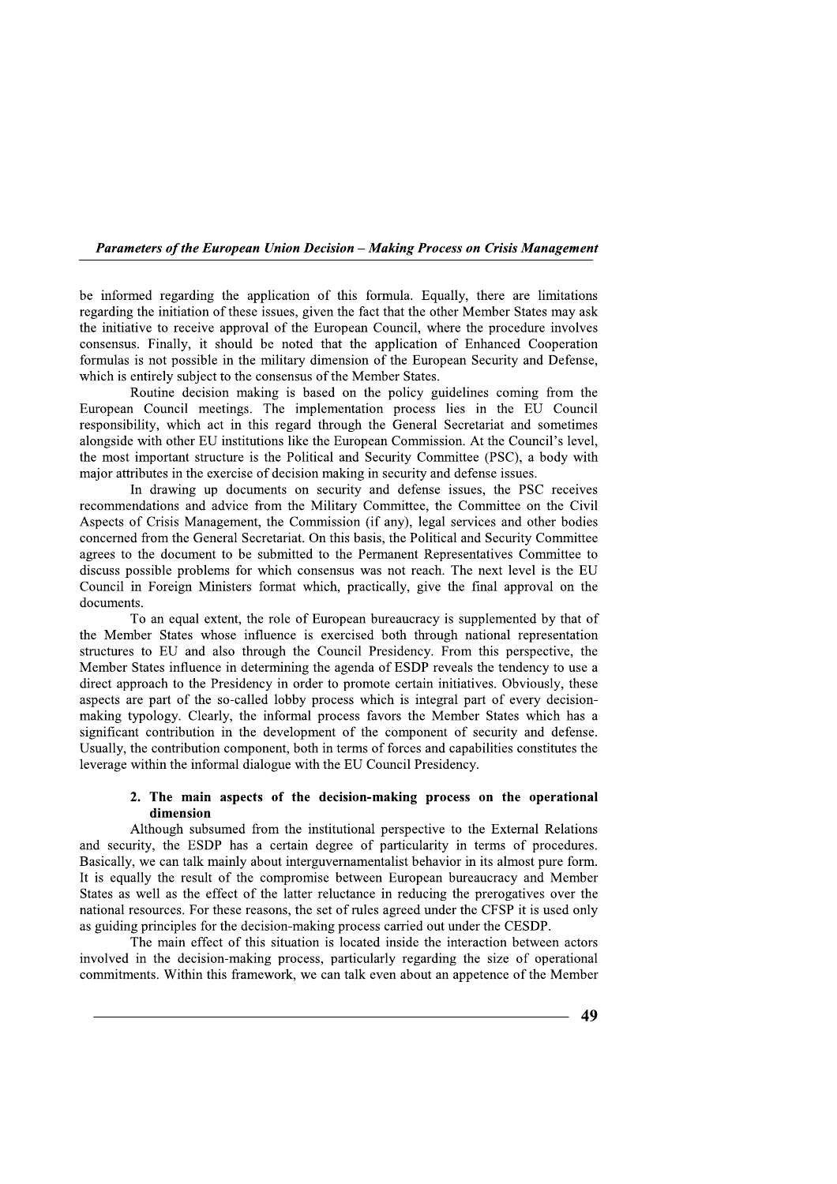**Parameters of the European Union Decision – Making Process on Crisis Management** 

be informed regarding the application of this formula. Equally, there are limitations regarding the initiation of these issues, given the fact that the other Member States may ask the initiative to receive approval of the European Council, where the procedure involves consensus. Finally, it should be noted that the application of Enhanced Cooperation formulas is not possible in the military dimension of the European Security and Defense, which is entirely subject to the consensus of the Member States.

Routine decision making is based on the policy guidelines coming from the European Council meetings. The implementation process lies in the EU Council responsibility, which act in this regard through the General Secretariat and sometimes alongside with other EU institutions like the European Commission. At the Council's level, the most important structure is the Political and Security Committee (PSC), a body with major attributes in the exercise of decision making in security and defense issues.

In drawing up documents on security and defense issues, the PSC receives recommendations and advice from the Military Committee, the Committee on the Civil Aspects of Crisis Management, the Commission (if any), legal services and other bodies concerned from the General Secretariat. On this basis, the Political and Security Committee agrees to the document to be submitted to the Permanent Representatives Committee to discuss possible problems for which consensus was not reach. The next level is the EU Council in Foreign Ministers format which, practically, give the final approval on the documents.

To an equal extent, the role of European bureaucracy is supplemented by that of the Member States whose influence is exercised both through national representation structures to EU and also through the Council Presidency. From this perspective, the Member States influence in determining the agenda of ESDP reveals the tendency to use a direct approach to the Presidency in order to promote certain initiatives. Obviously, these aspects are part of the so-called lobby process which is integral part of every decisionmaking typology. Clearly, the informal process favors the Member States which has a significant contribution in the development of the component of security and defense. Usually, the contribution component, both in terms of forces and capabilities constitutes the leverage within the informal dialogue with the EU Council Presidency.

### 2. The main aspects of the decision-making process on the operational dimension

Although subsumed from the institutional perspective to the External Relations and security, the ESDP has a certain degree of particularity in terms of procedures. Basically, we can talk mainly about interguvernamentalist behavior in its almost pure form. It is equally the result of the compromise between European bureaucracy and Member States as well as the effect of the latter reluctance in reducing the prerogatives over the national resources. For these reasons, the set of rules agreed under the CFSP it is used only as guiding principles for the decision-making process carried out under the CESDP.

The main effect of this situation is located inside the interaction between actors involved in the decision-making process, particularly regarding the size of operational commitments. Within this framework, we can talk even about an appetence of the Member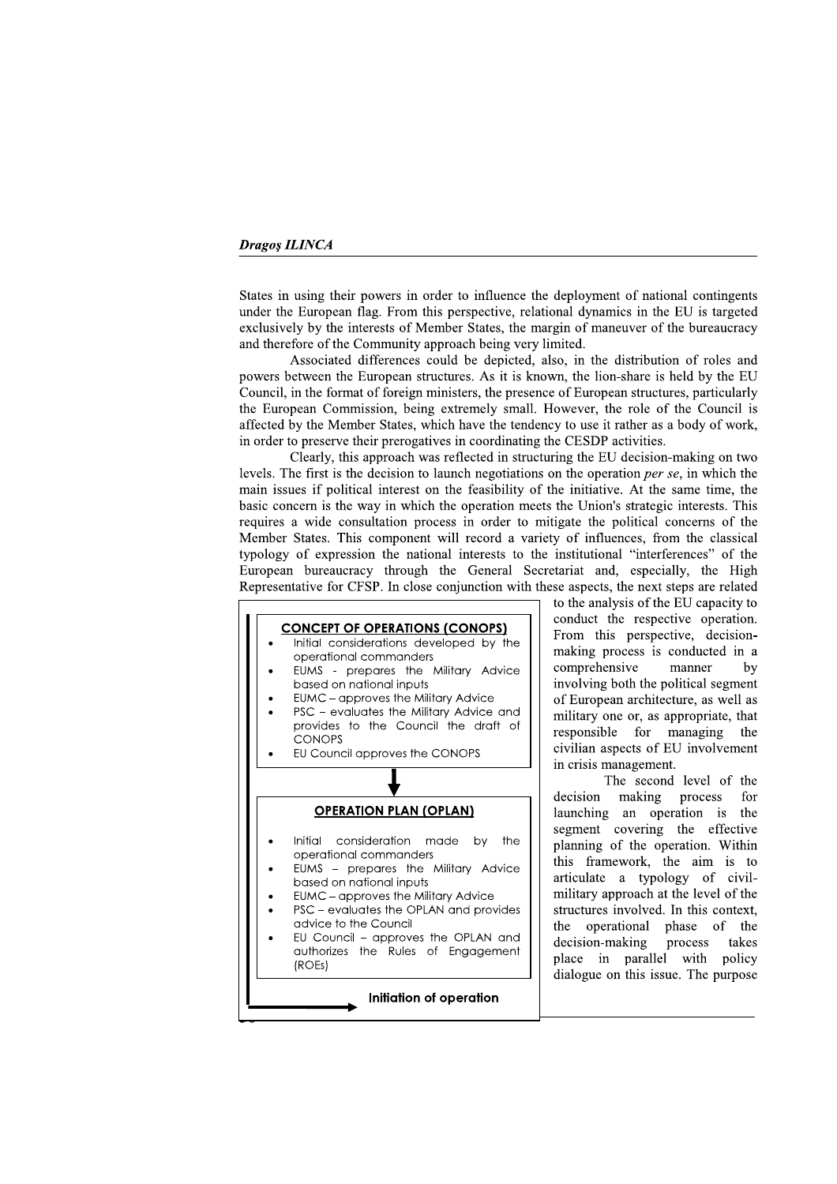States in using their powers in order to influence the deployment of national contingents under the European flag. From this perspective, relational dynamics in the EU is targeted exclusively by the interests of Member States, the margin of maneuver of the bureaucracy and therefore of the Community approach being very limited.

Associated differences could be depicted, also, in the distribution of roles and powers between the European structures. As it is known, the lion-share is held by the EU Council, in the format of foreign ministers, the presence of European structures, particularly the European Commission, being extremely small. However, the role of the Council is affected by the Member States, which have the tendency to use it rather as a body of work, in order to preserve their prerogatives in coordinating the CESDP activities.

Clearly, this approach was reflected in structuring the EU decision-making on two levels. The first is the decision to launch negotiations on the operation per se, in which the main issues if political interest on the feasibility of the initiative. At the same time, the basic concern is the way in which the operation meets the Union's strategic interests. This requires a wide consultation process in order to mitigate the political concerns of the Member States. This component will record a variety of influences, from the classical typology of expression the national interests to the institutional "interferences" of the European bureaucracy through the General Secretariat and, especially, the High Representative for CFSP. In close conjunction with these aspects, the next steps are related



to the analysis of the EU capacity to conduct the respective operation. From this perspective, decisionmaking process is conducted in a comprehensive manner by involving both the political segment of European architecture, as well as military one or, as appropriate, that responsible for managing the civilian aspects of EU involvement in crisis management.

The second level of the decision making process for launching an operation is the segment covering the effective planning of the operation. Within this framework, the aim is to articulate a typology of civilmilitary approach at the level of the structures involved. In this context, the operational phase of the decision-making process takes place in parallel with policy dialogue on this issue. The purpose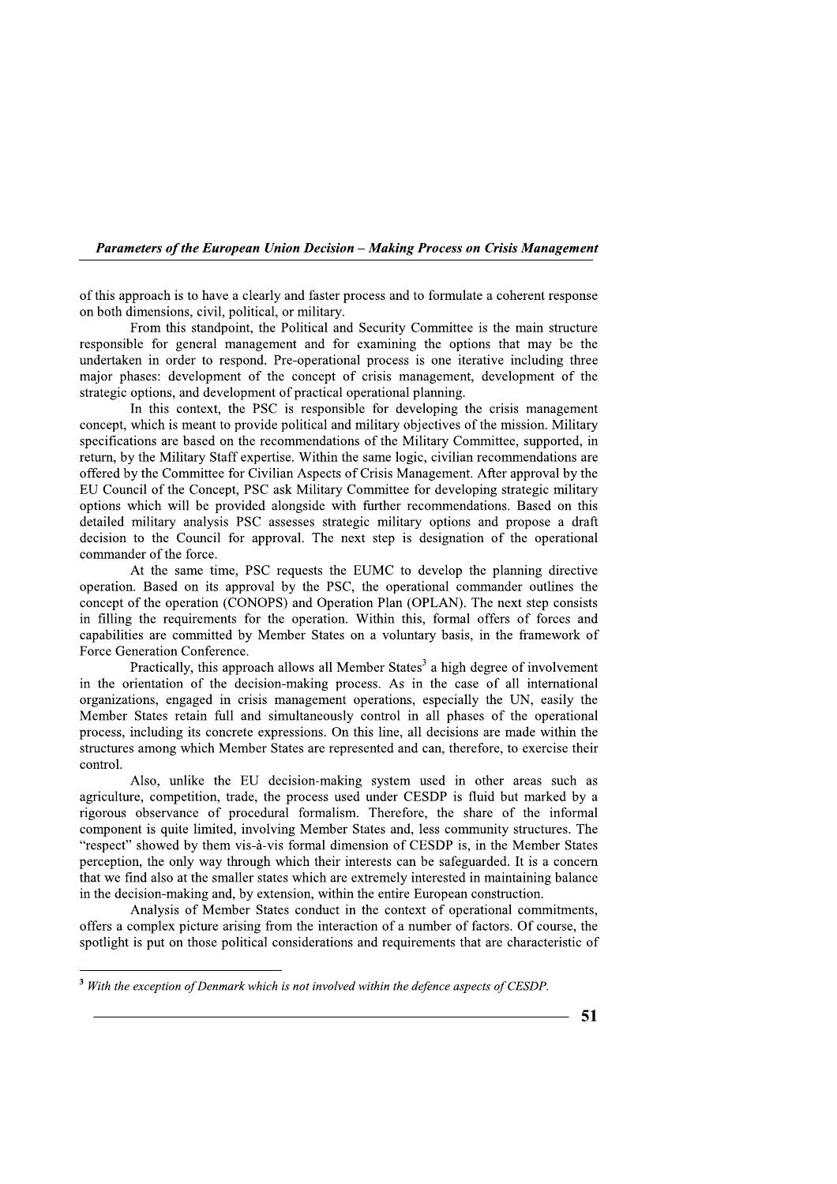Parameters of the European Union Decision - Making Process on Crisis Management

of this approach is to have a clearly and faster process and to formulate a coherent response on both dimensions, civil, political, or military.

From this standpoint, the Political and Security Committee is the main structure responsible for general management and for examining the options that may be the undertaken in order to respond. Pre-operational process is one iterative including three major phases: development of the concept of crisis management, development of the strategic options, and development of practical operational planning.

In this context, the PSC is responsible for developing the crisis management concept, which is meant to provide political and military objectives of the mission. Military specifications are based on the recommendations of the Military Committee, supported, in return, by the Military Staff expertise. Within the same logic, civilian recommendations are offered by the Committee for Civilian Aspects of Crisis Management. After approval by the EU Council of the Concept, PSC ask Military Committee for developing strategic military options which will be provided alongside with further recommendations. Based on this detailed military analysis PSC assesses strategic military options and propose a draft decision to the Council for approval. The next step is designation of the operational commander of the force.

At the same time, PSC requests the EUMC to develop the planning directive operation. Based on its approval by the PSC, the operational commander outlines the concept of the operation (CONOPS) and Operation Plan (OPLAN). The next step consists in filling the requirements for the operation. Within this, formal offers of forces and capabilities are committed by Member States on a voluntary basis, in the framework of Force Generation Conference.

Practically, this approach allows all Member States<sup>3</sup> a high degree of involvement in the orientation of the decision-making process. As in the case of all international organizations, engaged in crisis management operations, especially the UN, easily the Member States retain full and simultaneously control in all phases of the operational process, including its concrete expressions. On this line, all decisions are made within the structures among which Member States are represented and can, therefore, to exercise their control.

Also, unlike the EU decision-making system used in other areas such as agriculture, competition, trade, the process used under CESDP is fluid but marked by a rigorous observance of procedural formalism. Therefore, the share of the informal component is quite limited, involving Member States and, less community structures. The "respect" showed by them vis-à-vis formal dimension of CESDP is, in the Member States perception, the only way through which their interests can be safeguarded. It is a concern that we find also at the smaller states which are extremely interested in maintaining balance in the decision-making and, by extension, within the entire European construction.

Analysis of Member States conduct in the context of operational commitments, offers a complex picture arising from the interaction of a number of factors. Of course, the spotlight is put on those political considerations and requirements that are characteristic of

 $3$  With the exception of Denmark which is not involved within the defence aspects of CESDP.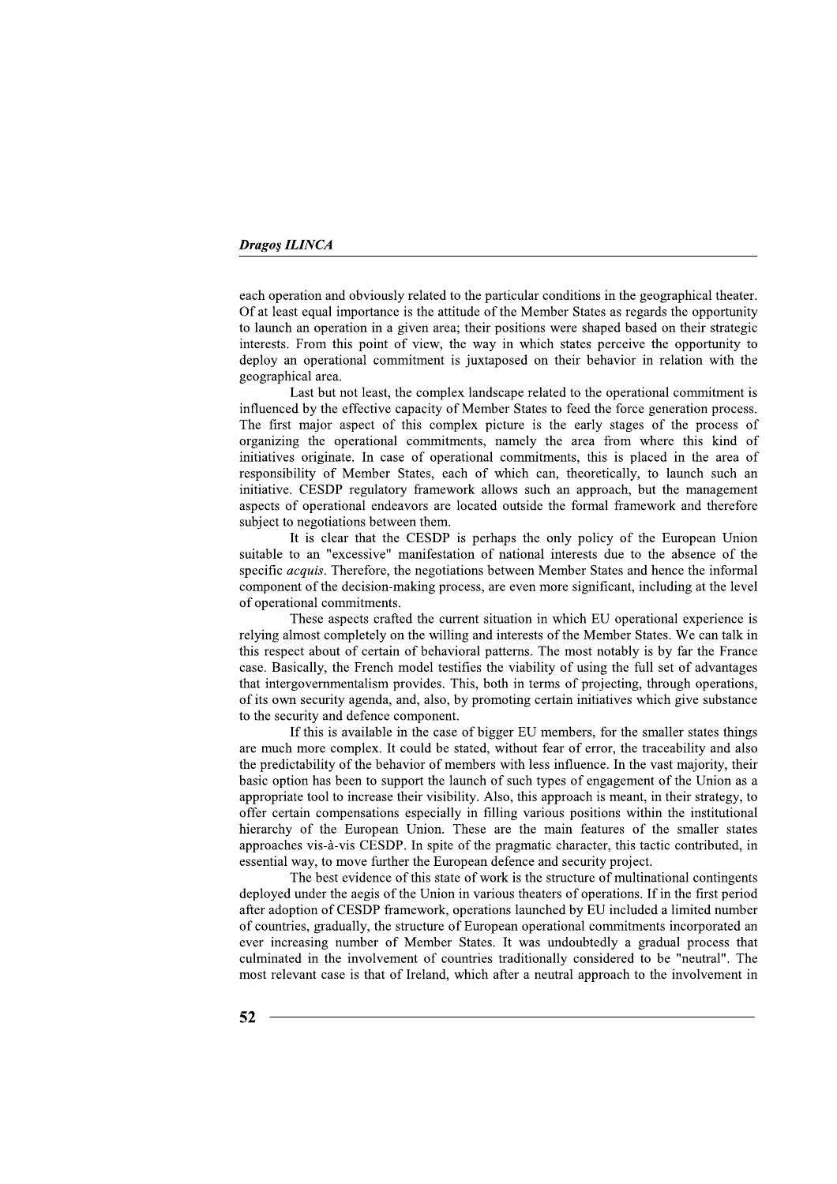each operation and obviously related to the particular conditions in the geographical theater. Of at least equal importance is the attitude of the Member States as regards the opportunity to launch an operation in a given area; their positions were shaped based on their strategic interests. From this point of view, the way in which states perceive the opportunity to deploy an operational commitment is juxtaposed on their behavior in relation with the geographical area.

Last but not least, the complex landscape related to the operational commitment is influenced by the effective capacity of Member States to feed the force generation process. The first major aspect of this complex picture is the early stages of the process of organizing the operational commitments, namely the area from where this kind of initiatives originate. In case of operational commitments, this is placed in the area of responsibility of Member States, each of which can, theoretically, to launch such an initiative. CESDP regulatory framework allows such an approach, but the management aspects of operational endeavors are located outside the formal framework and therefore subject to negotiations between them.

It is clear that the CESDP is perhaps the only policy of the European Union suitable to an "excessive" manifestation of national interests due to the absence of the specific *acquis*. Therefore, the negotiations between Member States and hence the informal component of the decision-making process, are even more significant, including at the level of operational commitments.

These aspects crafted the current situation in which EU operational experience is relying almost completely on the willing and interests of the Member States. We can talk in this respect about of certain of behavioral patterns. The most notably is by far the France case. Basically, the French model testifies the viability of using the full set of advantages that intergovernmentalism provides. This, both in terms of projecting, through operations, of its own security agenda, and, also, by promoting certain initiatives which give substance to the security and defence component.

If this is available in the case of bigger EU members, for the smaller states things are much more complex. It could be stated, without fear of error, the traceability and also the predictability of the behavior of members with less influence. In the vast majority, their basic option has been to support the launch of such types of engagement of the Union as a appropriate tool to increase their visibility. Also, this approach is meant, in their strategy, to offer certain compensations especially in filling various positions within the institutional hierarchy of the European Union. These are the main features of the smaller states approaches vis-à-vis CESDP. In spite of the pragmatic character, this tactic contributed, in essential way, to move further the European defence and security project.

The best evidence of this state of work is the structure of multinational contingents deployed under the aegis of the Union in various theaters of operations. If in the first period after adoption of CESDP framework, operations launched by EU included a limited number of countries, gradually, the structure of European operational commitments incorporated an ever increasing number of Member States. It was undoubtedly a gradual process that culminated in the involvement of countries traditionally considered to be "neutral". The most relevant case is that of Ireland, which after a neutral approach to the involvement in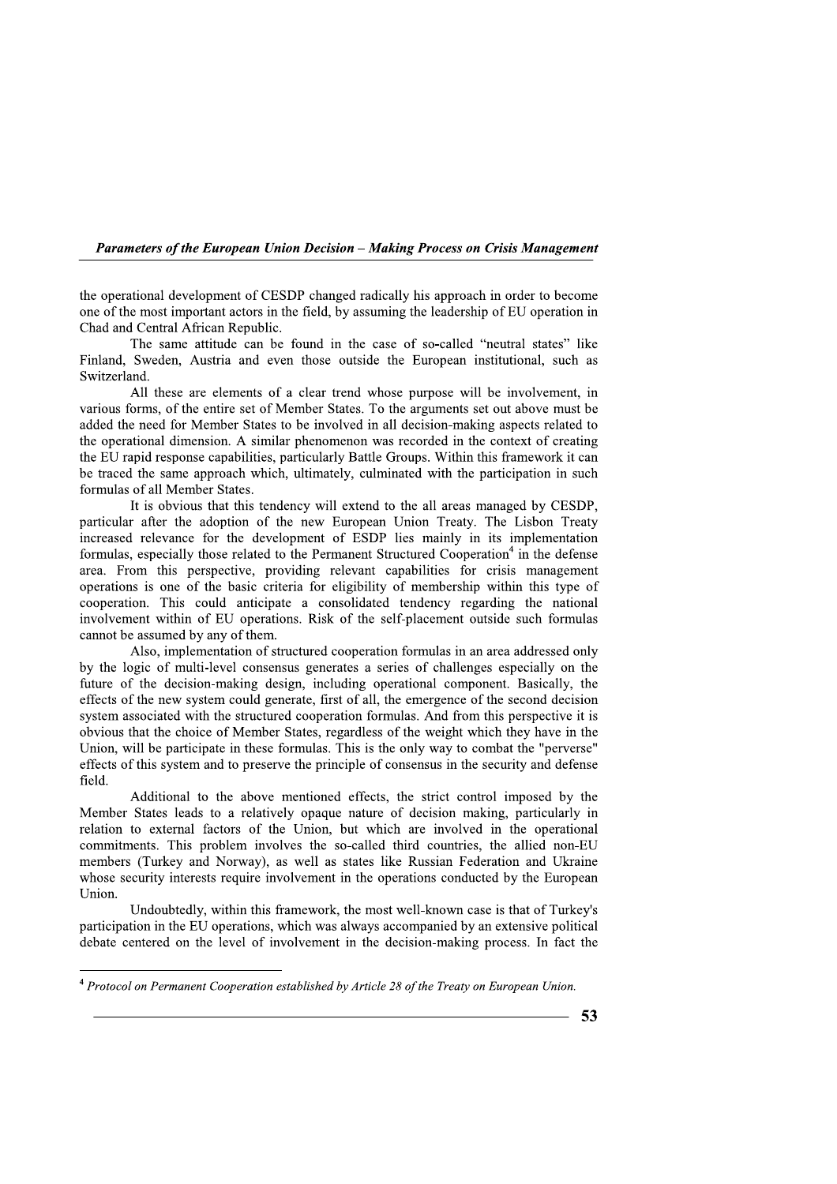Parameters of the European Union Decision - Making Process on Crisis Management

the operational development of CESDP changed radically his approach in order to become one of the most important actors in the field, by assuming the leadership of EU operation in Chad and Central African Republic.

The same attitude can be found in the case of so-called "neutral states" like Finland, Sweden, Austria and even those outside the European institutional, such as Switzerland.

All these are elements of a clear trend whose purpose will be involvement, in various forms, of the entire set of Member States. To the arguments set out above must be added the need for Member States to be involved in all decision-making aspects related to the operational dimension. A similar phenomenon was recorded in the context of creating the EU rapid response capabilities, particularly Battle Groups. Within this framework it can be traced the same approach which, ultimately, culminated with the participation in such formulas of all Member States.

It is obvious that this tendency will extend to the all areas managed by CESDP. particular after the adoption of the new European Union Treaty. The Lisbon Treaty increased relevance for the development of ESDP lies mainly in its implementation formulas, especially those related to the Permanent Structured Cooperation<sup>4</sup> in the defense area. From this perspective, providing relevant capabilities for crisis management operations is one of the basic criteria for eligibility of membership within this type of cooperation. This could anticipate a consolidated tendency regarding the national involvement within of EU operations. Risk of the self-placement outside such formulas cannot be assumed by any of them.

Also, implementation of structured cooperation formulas in an area addressed only by the logic of multi-level consensus generates a series of challenges especially on the future of the decision-making design, including operational component. Basically, the effects of the new system could generate, first of all, the emergence of the second decision system associated with the structured cooperation formulas. And from this perspective it is obvious that the choice of Member States, regardless of the weight which they have in the Union, will be participate in these formulas. This is the only way to combat the "perverse" effects of this system and to preserve the principle of consensus in the security and defense field.

Additional to the above mentioned effects, the strict control imposed by the Member States leads to a relatively opaque nature of decision making, particularly in relation to external factors of the Union, but which are involved in the operational commitments. This problem involves the so-called third countries, the allied non-EU members (Turkey and Norway), as well as states like Russian Federation and Ukraine whose security interests require involvement in the operations conducted by the European Union.

Undoubtedly, within this framework, the most well-known case is that of Turkey's participation in the EU operations, which was always accompanied by an extensive political debate centered on the level of involvement in the decision-making process. In fact the

<sup>&</sup>lt;sup>4</sup> Protocol on Permanent Cooperation established by Article 28 of the Treaty on European Union.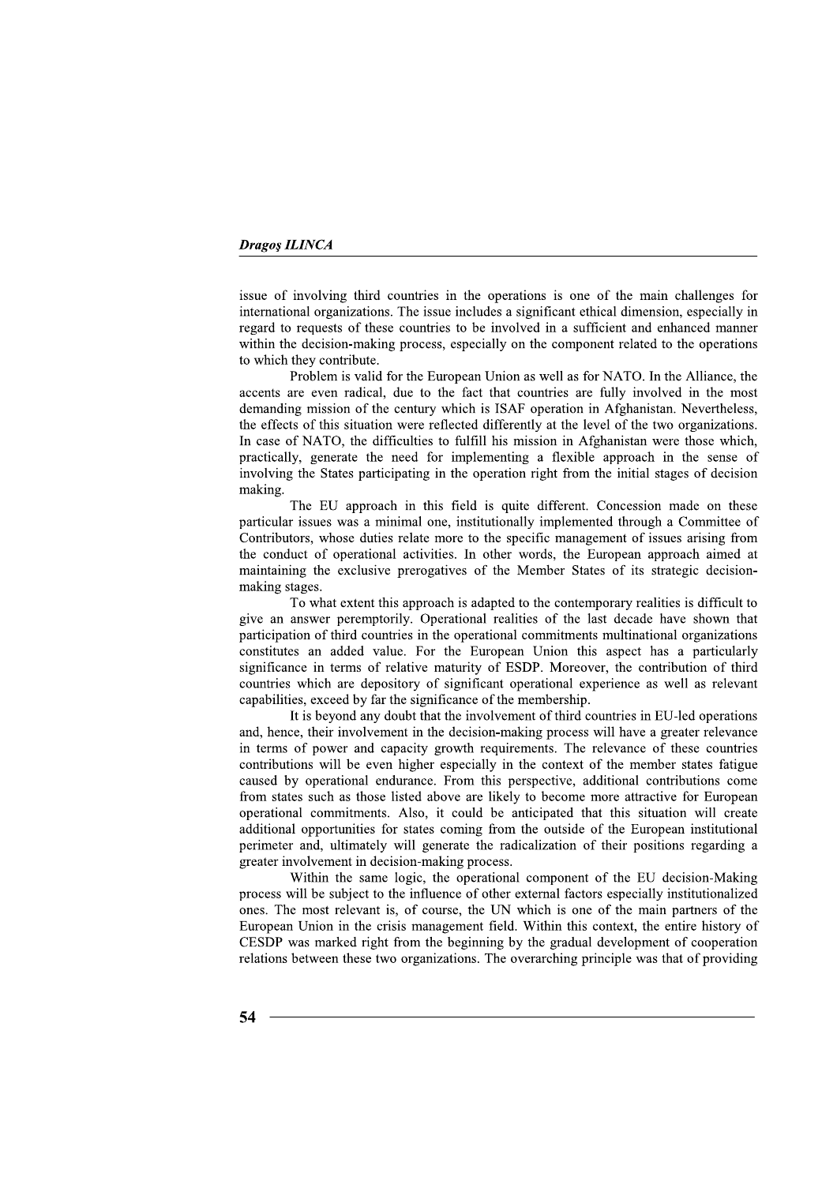issue of involving third countries in the operations is one of the main challenges for international organizations. The issue includes a significant ethical dimension, especially in regard to requests of these countries to be involved in a sufficient and enhanced manner within the decision-making process, especially on the component related to the operations to which they contribute.

Problem is valid for the European Union as well as for NATO. In the Alliance, the accents are even radical, due to the fact that countries are fully involved in the most demanding mission of the century which is ISAF operation in Afghanistan. Nevertheless, the effects of this situation were reflected differently at the level of the two organizations. In case of NATO, the difficulties to fulfill his mission in Afghanistan were those which, practically, generate the need for implementing a flexible approach in the sense of involving the States participating in the operation right from the initial stages of decision making.

The EU approach in this field is quite different. Concession made on these particular issues was a minimal one, institutionally implemented through a Committee of Contributors, whose duties relate more to the specific management of issues arising from the conduct of operational activities. In other words, the European approach aimed at maintaining the exclusive prerogatives of the Member States of its strategic decisionmaking stages.

To what extent this approach is adapted to the contemporary realities is difficult to give an answer peremptorily. Operational realities of the last decade have shown that participation of third countries in the operational commitments multinational organizations constitutes an added value. For the European Union this aspect has a particularly significance in terms of relative maturity of ESDP. Moreover, the contribution of third countries which are depository of significant operational experience as well as relevant capabilities, exceed by far the significance of the membership.

It is beyond any doubt that the involvement of third countries in EU-led operations and, hence, their involvement in the decision-making process will have a greater relevance in terms of power and capacity growth requirements. The relevance of these countries contributions will be even higher especially in the context of the member states fatigue caused by operational endurance. From this perspective, additional contributions come from states such as those listed above are likely to become more attractive for European operational commitments. Also, it could be anticipated that this situation will create additional opportunities for states coming from the outside of the European institutional perimeter and, ultimately will generate the radicalization of their positions regarding a greater involvement in decision-making process.

Within the same logic, the operational component of the EU decision-Making process will be subject to the influence of other external factors especially institutionalized ones. The most relevant is, of course, the UN which is one of the main partners of the European Union in the crisis management field. Within this context, the entire history of CESDP was marked right from the beginning by the gradual development of cooperation relations between these two organizations. The overarching principle was that of providing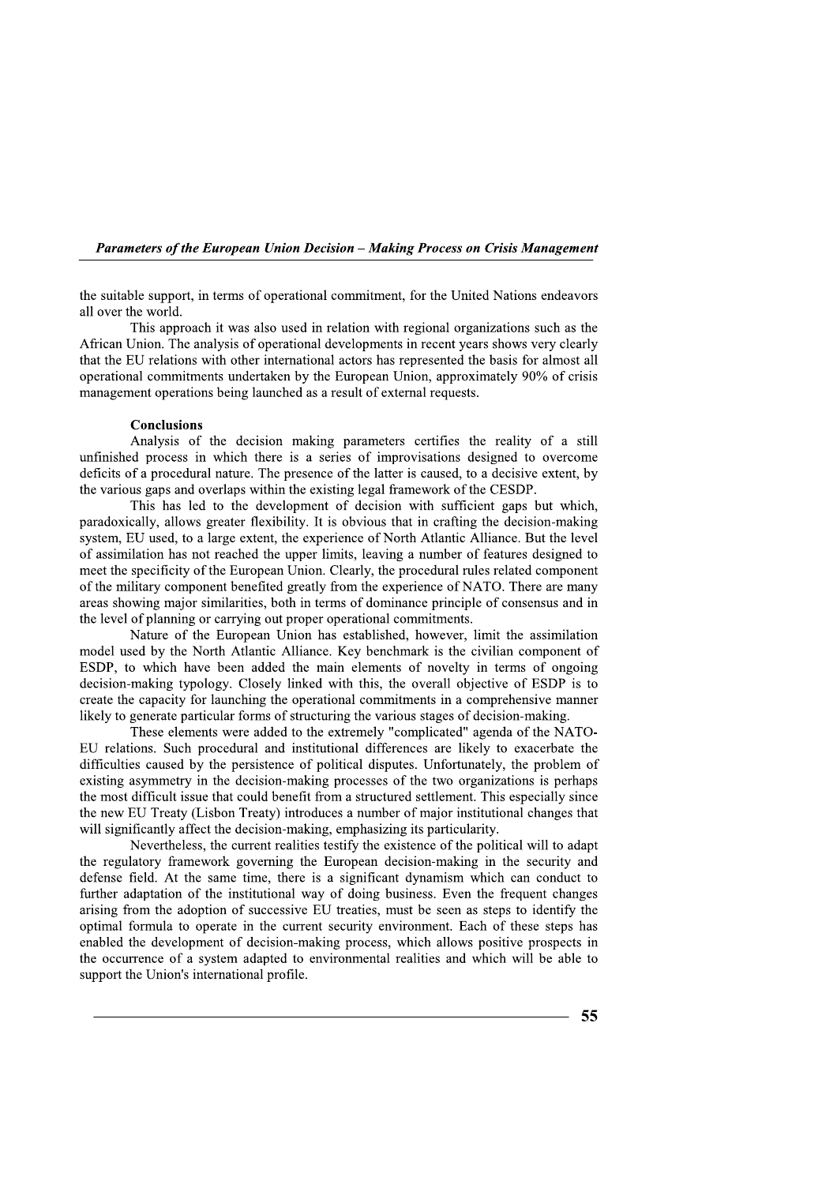**Parameters of the European Union Decision – Making Process on Crisis Management** 

the suitable support, in terms of operational commitment, for the United Nations endeavors all over the world.

This approach it was also used in relation with regional organizations such as the African Union. The analysis of operational developments in recent years shows very clearly that the EU relations with other international actors has represented the basis for almost all operational commitments undertaken by the European Union, approximately 90% of crisis management operations being launched as a result of external requests.

#### **Conclusions**

Analysis of the decision making parameters certifies the reality of a still unfinished process in which there is a series of improvisations designed to overcome deficits of a procedural nature. The presence of the latter is caused, to a decisive extent, by the various gaps and overlaps within the existing legal framework of the CESDP.

This has led to the development of decision with sufficient gaps but which, paradoxically, allows greater flexibility. It is obvious that in crafting the decision-making system, EU used, to a large extent, the experience of North Atlantic Alliance. But the level of assimilation has not reached the upper limits, leaving a number of features designed to meet the specificity of the European Union. Clearly, the procedural rules related component of the military component benefited greatly from the experience of NATO. There are many areas showing major similarities, both in terms of dominance principle of consensus and in the level of planning or carrying out proper operational commitments.

Nature of the European Union has established, however, limit the assimilation model used by the North Atlantic Alliance. Key benchmark is the civilian component of ESDP, to which have been added the main elements of novelty in terms of ongoing decision-making typology. Closely linked with this, the overall objective of ESDP is to create the capacity for launching the operational commitments in a comprehensive manner likely to generate particular forms of structuring the various stages of decision-making.

These elements were added to the extremely "complicated" agenda of the NATO-EU relations. Such procedural and institutional differences are likely to exacerbate the difficulties caused by the persistence of political disputes. Unfortunately, the problem of existing asymmetry in the decision-making processes of the two organizations is perhaps the most difficult issue that could benefit from a structured settlement. This especially since the new EU Treaty (Lisbon Treaty) introduces a number of major institutional changes that will significantly affect the decision-making, emphasizing its particularity.

Nevertheless, the current realities testify the existence of the political will to adapt the regulatory framework governing the European decision-making in the security and defense field. At the same time, there is a significant dynamism which can conduct to further adaptation of the institutional way of doing business. Even the frequent changes arising from the adoption of successive EU treaties, must be seen as steps to identify the optimal formula to operate in the current security environment. Each of these steps has enabled the development of decision-making process, which allows positive prospects in the occurrence of a system adapted to environmental realities and which will be able to support the Union's international profile.